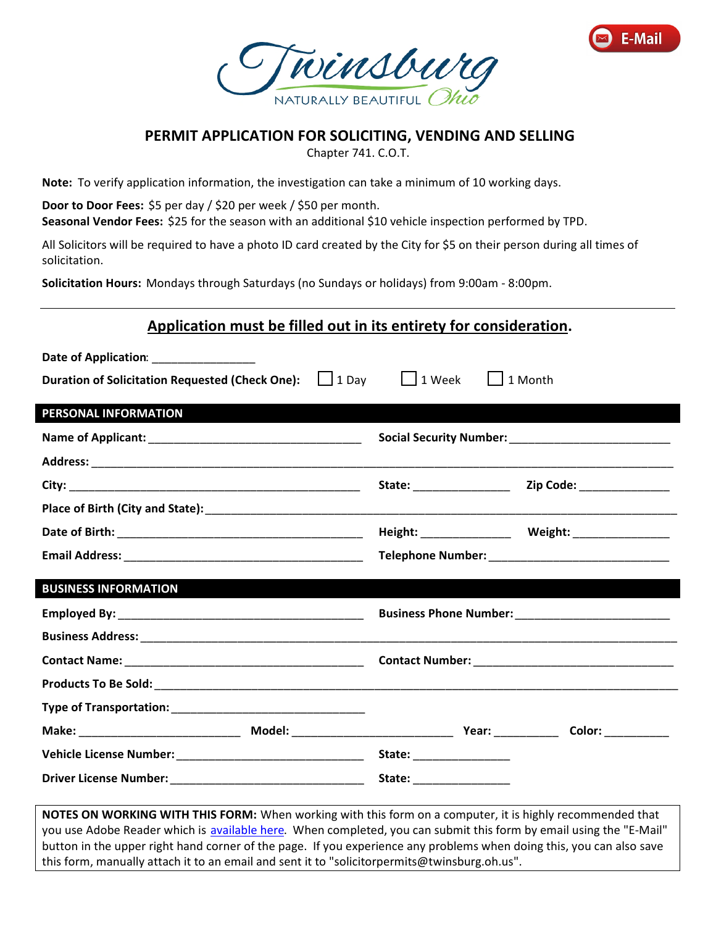



## **PERMIT APPLICATION FOR SOLICITING, VENDING AND SELLING**

Chapter 741. C.O.T.

**Note:** To verify application information, the investigation can take a minimum of 10 working days.

**Door to Door Fees:** \$5 per day / \$20 per week / \$50 per month. **Seasonal Vendor Fees:** \$25 for the season with an additional \$10 vehicle inspection performed by TPD.

All Solicitors will be required to have a photo ID card created by the City for \$5 on their person during all times of solicitation.

**Solicitation Hours:** Mondays through Saturdays (no Sundays or holidays) from 9:00am - 8:00pm.

| Application must be filled out in its entirety for consideration.  |                                       |
|--------------------------------------------------------------------|---------------------------------------|
| Date of Application: ________________                              |                                       |
| <b>Duration of Solicitation Requested (Check One):</b> <u>Joay</u> | $\vert$   1 Week<br>$\vert$   1 Month |
| PERSONAL INFORMATION                                               |                                       |
|                                                                    |                                       |
|                                                                    |                                       |
|                                                                    |                                       |
|                                                                    |                                       |
|                                                                    | Height: Weight: Weight:               |
|                                                                    |                                       |
| <b>BUSINESS INFORMATION</b>                                        |                                       |
|                                                                    |                                       |
|                                                                    |                                       |
|                                                                    |                                       |
|                                                                    |                                       |
|                                                                    |                                       |
|                                                                    |                                       |
|                                                                    | State: ________________               |
|                                                                    |                                       |
|                                                                    |                                       |

**NOTES ON WORKING WITH THIS FORM:** When working with this form on a computer, it is highly recommended that you use Adobe Reader which is [available here.](https://get.adobe.com/reader/) When completed, you can submit this form by email using the "E-Mail" button in the upper right hand corner of the page. If you experience any problems when doing this, you can also save this form, manually attach it to an email and sent it to "solicitorpermits@twinsburg.oh.us".